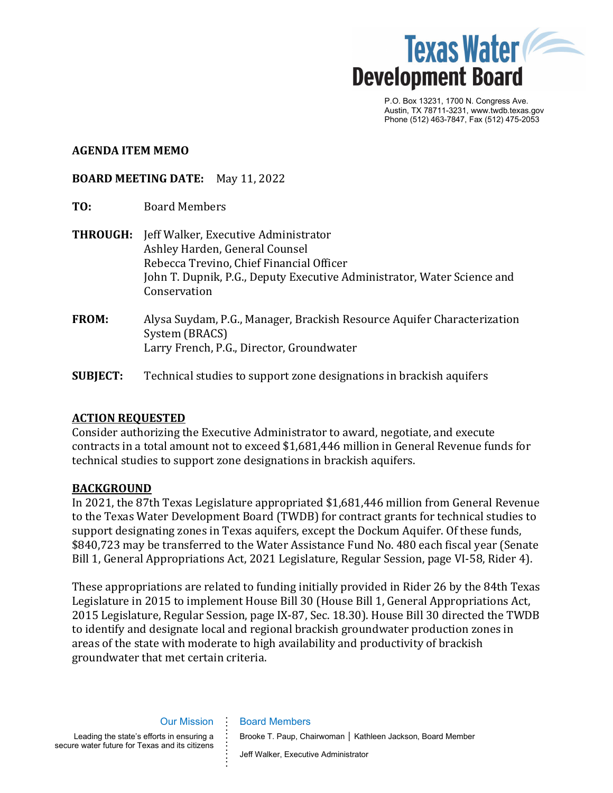

P.O. Box 13231, 1700 N. Congress Ave. Austin, TX 78711-3231, www.twdb.texas.gov Phone (512) 463-7847, Fax (512) 475-2053

### **AGENDA ITEM MEMO**

### **BOARD MEETING DATE:** May 11, 2022

- **TO:** Board Members
- **THROUGH:** Jeff Walker, Executive Administrator Ashley Harden, General Counsel Rebecca Trevino, Chief Financial Officer John T. Dupnik, P.G., Deputy Executive Administrator, Water Science and Conservation
- **FROM:** Alysa Suydam, P.G., Manager, Brackish Resource Aquifer Characterization System (BRACS) Larry French, P.G., Director, Groundwater
- **SUBJECT:** Technical studies to support zone designations in brackish aquifers

### **ACTION REQUESTED**

Consider authorizing the Executive Administrator to award, negotiate, and execute contracts in a total amount not to exceed \$1,681,446 million in General Revenue funds for technical studies to support zone designations in brackish aquifers.

### **BACKGROUND**

In 2021, the 87th Texas Legislature appropriated \$1,681,446 million from General Revenue to the Texas Water Development Board (TWDB) for contract grants for technical studies to support designating zones in Texas aquifers, except the Dockum Aquifer. Of these funds, \$840,723 may be transferred to the Water Assistance Fund No. 480 each fiscal year (Senate Bill 1, General Appropriations Act, 2021 Legislature, Regular Session, page VI-58, Rider 4).

These appropriations are related to funding initially provided in Rider 26 by the 84th Texas Legislature in 2015 to implement House Bill 30 (House Bill 1, General Appropriations Act, 2015 Legislature, Regular Session, page IX-87, Sec. 18.30). House Bill 30 directed the TWDB to identify and designate local and regional brackish groundwater production zones in areas of the state with moderate to high availability and productivity of brackish groundwater that met certain criteria.

Our Mission Leading the state's efforts in ensuring a secure water future for Texas and its citizens **. . . . . . . . . . .** Board Members Brooke T. Paup, Chairwoman │ Kathleen Jackson, Board Member Jeff Walker, Executive Administrator

**. .**